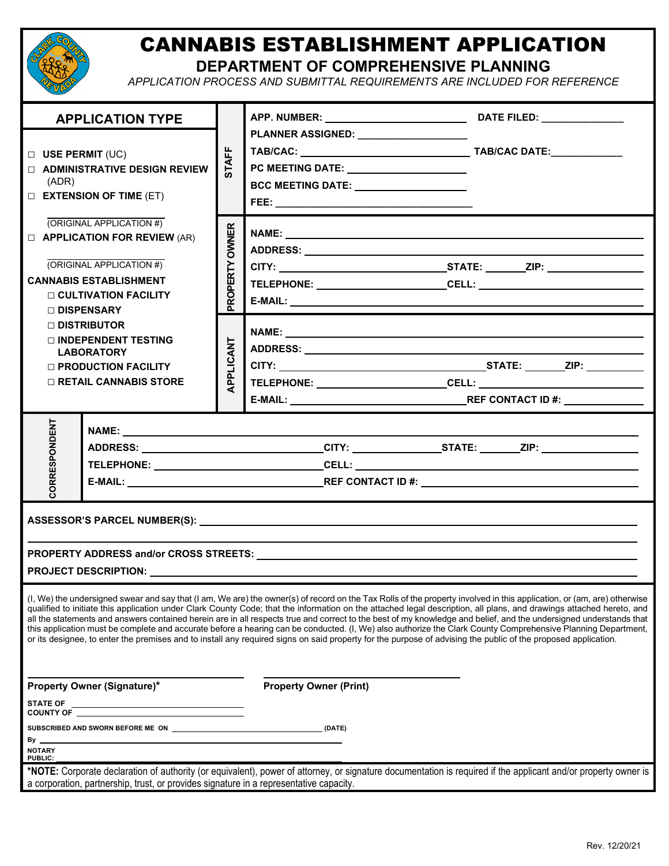

## CANNABIS ESTABLISHMENT APPLICATION

**DEPARTMENT OF COMPREHENSIVE PLANNING**

*APPLICATION PROCESS AND SUBMITTAL REQUIREMENTS ARE INCLUDED FOR REFERENCE* 

| <b>APPLICATION TYPE</b><br>$\Box$ USE PERMIT (UC)<br><b>DE ADMINISTRATIVE DESIGN REVIEW</b><br>(ADR)<br><b>EXTENSION OF TIME (ET)</b><br>(ORIGINAL APPLICATION #)<br><b>D APPLICATION FOR REVIEW</b> (AR)<br>(ORIGINAL APPLICATION #)<br><b>CANNABIS ESTABLISHMENT</b><br>$\Box$ CULTIVATION FACILITY<br>□ DISPENSARY |                                                                                                                                                      | <b>STAFF</b>             | PC MEETING DATE: ________________________<br>BCC MEETING DATE: <b>__________________</b> ___                                                                                                                                                                                                                                                                                                                                                                                                                        |  |  |  |  |
|-----------------------------------------------------------------------------------------------------------------------------------------------------------------------------------------------------------------------------------------------------------------------------------------------------------------------|------------------------------------------------------------------------------------------------------------------------------------------------------|--------------------------|---------------------------------------------------------------------------------------------------------------------------------------------------------------------------------------------------------------------------------------------------------------------------------------------------------------------------------------------------------------------------------------------------------------------------------------------------------------------------------------------------------------------|--|--|--|--|
|                                                                                                                                                                                                                                                                                                                       |                                                                                                                                                      | <b>OWNER</b><br>PROPERTY |                                                                                                                                                                                                                                                                                                                                                                                                                                                                                                                     |  |  |  |  |
|                                                                                                                                                                                                                                                                                                                       | $\Box$ distributor<br>$\sqcap$ INDEPENDENT TESTING<br><b>LABORATORY</b><br>$\Box$ PRODUCTION FACILITY<br>$\Box$ RETAIL CANNABIS STORE                | PPLICANT                 |                                                                                                                                                                                                                                                                                                                                                                                                                                                                                                                     |  |  |  |  |
| <b>CORRESPONDENT</b><br>ADDRESS: ______________________________CITY: _______________STATE: ______ZIP: _____________________                                                                                                                                                                                           |                                                                                                                                                      |                          |                                                                                                                                                                                                                                                                                                                                                                                                                                                                                                                     |  |  |  |  |
|                                                                                                                                                                                                                                                                                                                       |                                                                                                                                                      |                          | (I, We) the undersigned swear and say that (I am, We are) the owner(s) of record on the Tax Rolls of the property involved in this application, or (am, are) otherwise<br>qualified to initiate this application under Clark County Code; that the information on the attached legal description, all plans, and drawings attached hereto, and<br>all the statements and answers contained herein are in all respects true and correct to the best of my knowledge and belief, and the undersigned understands that |  |  |  |  |
| <b>Property Owner (Signature)*</b><br><b>STATE OF</b><br>SUBSCRIBED AND SWORN BEFORE ME ON <b>CONSUMING THE ON CONSUMING A</b> (DATE)                                                                                                                                                                                 |                                                                                                                                                      |                          | this application must be complete and accurate before a hearing can be conducted. (I, We) also authorize the Clark County Comprehensive Planning Department,<br>or its designee, to enter the premises and to install any required signs on said property for the purpose of advising the public of the proposed application.<br><b>Property Owner (Print)</b>                                                                                                                                                      |  |  |  |  |
| By _<br><b>NOTARY</b><br>PUBLIC:                                                                                                                                                                                                                                                                                      | <u> 1989 - Johann Barn, amerikansk politiker (d. 1989)</u><br>a corporation, partnership, trust, or provides signature in a representative capacity. |                          | *NOTE: Corporate declaration of authority (or equivalent), power of attorney, or signature documentation is required if the applicant and/or property owner is                                                                                                                                                                                                                                                                                                                                                      |  |  |  |  |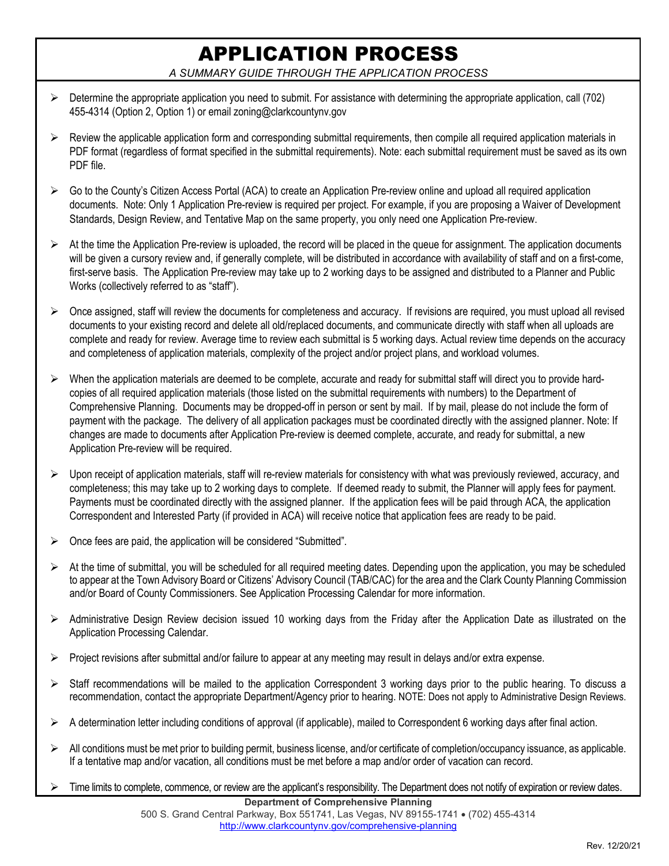## APPLICATION PROCESS

*A SUMMARY GUIDE THROUGH THE APPLICATION PROCESS* 

- $\triangleright$  Determine the appropriate application you need to submit. For assistance with determining the appropriate application, call (702) 455-4314 (Option 2, Option 1) or email zoning@clarkcountynv.gov
- $\triangleright$  Review the applicable application form and corresponding submittal requirements, then compile all required application materials in PDF format (regardless of format specified in the submittal requirements). Note: each submittal requirement must be saved as its own PDF file.
- $\triangleright$  Go to the County's Citizen Access Portal (ACA) to create an Application Pre-review online and upload all required application documents. Note: Only 1 Application Pre-review is required per project. For example, if you are proposing a Waiver of Development Standards, Design Review, and Tentative Map on the same property, you only need one Application Pre-review.
- $\triangleright$  At the time the Application Pre-review is uploaded, the record will be placed in the queue for assignment. The application documents will be given a cursory review and, if generally complete, will be distributed in accordance with availability of staff and on a first-come, first-serve basis. The Application Pre-review may take up to 2 working days to be assigned and distributed to a Planner and Public Works (collectively referred to as "staff").
- $\triangleright$  Once assigned, staff will review the documents for completeness and accuracy. If revisions are required, you must upload all revised documents to your existing record and delete all old/replaced documents, and communicate directly with staff when all uploads are complete and ready for review. Average time to review each submittal is 5 working days. Actual review time depends on the accuracy and completeness of application materials, complexity of the project and/or project plans, and workload volumes.
- When the application materials are deemed to be complete, accurate and ready for submittal staff will direct you to provide hardcopies of all required application materials (those listed on the submittal requirements with numbers) to the Department of Comprehensive Planning. Documents may be dropped-off in person or sent by mail. If by mail, please do not include the form of payment with the package. The delivery of all application packages must be coordinated directly with the assigned planner. Note: If changes are made to documents after Application Pre-review is deemed complete, accurate, and ready for submittal, a new Application Pre-review will be required.
- Upon receipt of application materials, staff will re-review materials for consistency with what was previously reviewed, accuracy, and completeness; this may take up to 2 working days to complete. If deemed ready to submit, the Planner will apply fees for payment. Payments must be coordinated directly with the assigned planner. If the application fees will be paid through ACA, the application Correspondent and Interested Party (if provided in ACA) will receive notice that application fees are ready to be paid.
- $\triangleright$  Once fees are paid, the application will be considered "Submitted".
- $\triangleright$  At the time of submittal, you will be scheduled for all required meeting dates. Depending upon the application, you may be scheduled to appear at the Town Advisory Board or Citizens' Advisory Council (TAB/CAC) for the area and the Clark County Planning Commission and/or Board of County Commissioners. See Application Processing Calendar for more information.
- Administrative Design Review decision issued 10 working days from the Friday after the Application Date as illustrated on the Application Processing Calendar.
- $\triangleright$  Project revisions after submittal and/or failure to appear at any meeting may result in delays and/or extra expense.
- $\triangleright$  Staff recommendations will be mailed to the application Correspondent 3 working days prior to the public hearing. To discuss a recommendation, contact the appropriate Department/Agency prior to hearing. NOTE: Does not apply to Administrative Design Reviews.
- $\triangleright$  A determination letter including conditions of approval (if applicable), mailed to Correspondent 6 working days after final action.
- $\triangleright$  All conditions must be met prior to building permit, business license, and/or certificate of completion/occupancy issuance, as applicable. If a tentative map and/or vacation, all conditions must be met before a map and/or order of vacation can record.
- $\triangleright$  Time limits to complete, commence, or review are the applicant's responsibility. The Department does not notify of expiration or review dates.